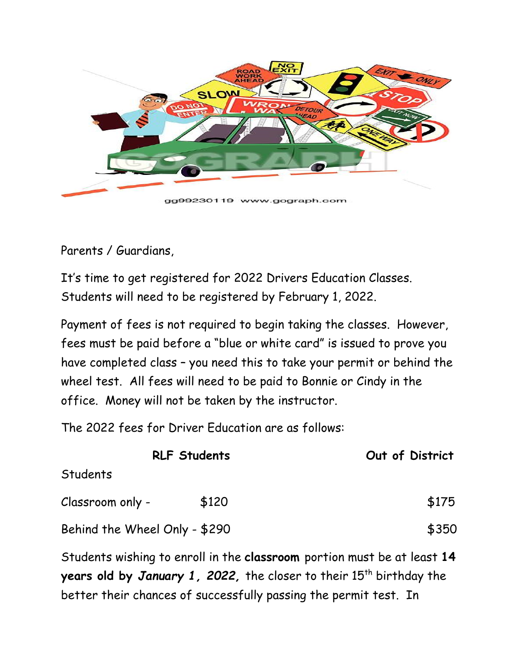

gg99230119 www.gograph.com

## Parents / Guardians,

It's time to get registered for 2022 Drivers Education Classes. Students will need to be registered by February 1, 2022.

Payment of fees is not required to begin taking the classes. However, fees must be paid before a "blue or white card" is issued to prove you have completed class – you need this to take your permit or behind the wheel test. All fees will need to be paid to Bonnie or Cindy in the office. Money will not be taken by the instructor.

The 2022 fees for Driver Education are as follows:

| Out of District                                                                                                                                     |
|-----------------------------------------------------------------------------------------------------------------------------------------------------|
|                                                                                                                                                     |
| \$175                                                                                                                                               |
| \$350                                                                                                                                               |
| Students wishing to enroll in the classroom portion must be at least 14<br>years old by January 1, 2022, the closer to their $15^{th}$ birthday the |
|                                                                                                                                                     |

better their chances of successfully passing the permit test. In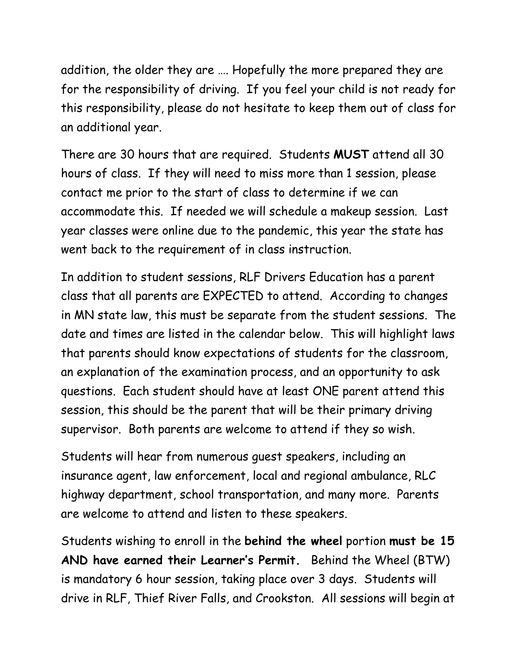addition, the older they are …. Hopefully the more prepared they are for the responsibility of driving. If you feel your child is not ready for this responsibility, please do not hesitate to keep them out of class for an additional year.

There are 30 hours that are required. Students **MUST** attend all 30 hours of class. If they will need to miss more than 1 session, please contact me prior to the start of class to determine if we can accommodate this. If needed we will schedule a makeup session. Last year classes were online due to the pandemic, this year the state has went back to the requirement of in class instruction.

In addition to student sessions, RLF Drivers Education has a parent class that all parents are EXPECTED to attend. According to changes in MN state law, this must be separate from the student sessions. The date and times are listed in the calendar below. This will highlight laws that parents should know expectations of students for the classroom, an explanation of the examination process, and an opportunity to ask questions. Each student should have at least ONE parent attend this session, this should be the parent that will be their primary driving supervisor. Both parents are welcome to attend if they so wish.

Students will hear from numerous guest speakers, including an insurance agent, law enforcement, local and regional ambulance, RLC highway department, school transportation, and many more. Parents are welcome to attend and listen to these speakers.

Students wishing to enroll in the **behind the wheel** portion **must be 15 AND have earned their Learner's Permit.** Behind the Wheel (BTW) is mandatory 6 hour session, taking place over 3 days. Students will drive in RLF, Thief River Falls, and Crookston. All sessions will begin at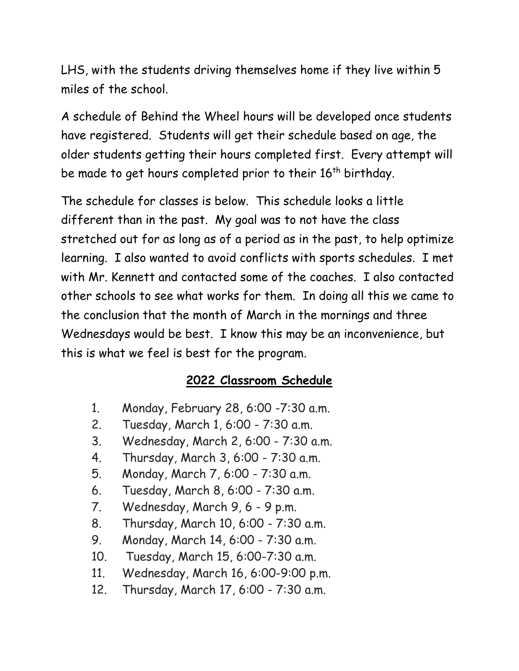LHS, with the students driving themselves home if they live within 5 miles of the school.

A schedule of Behind the Wheel hours will be developed once students have registered. Students will get their schedule based on age, the older students getting their hours completed first. Every attempt will be made to get hours completed prior to their 16<sup>th</sup> birthday.

The schedule for classes is below. This schedule looks a little different than in the past. My goal was to not have the class stretched out for as long as of a period as in the past, to help optimize learning. I also wanted to avoid conflicts with sports schedules. I met with Mr. Kennett and contacted some of the coaches. I also contacted other schools to see what works for them. In doing all this we came to the conclusion that the month of March in the mornings and three Wednesdays would be best. I know this may be an inconvenience, but this is what we feel is best for the program.

## **2022 Classroom Schedule**

- 1. Monday, February 28, 6:00 -7:30 a.m.
- 2. Tuesday, March 1, 6:00 7:30 a.m.
- 3. Wednesday, March 2, 6:00 7:30 a.m.
- 4. Thursday, March 3, 6:00 7:30 a.m.
- 5. Monday, March 7, 6:00 7:30 a.m.
- 6. Tuesday, March 8, 6:00 7:30 a.m.
- 7. Wednesday, March 9, 6 9 p.m.
- 8. Thursday, March 10, 6:00 7:30 a.m.
- 9. Monday, March 14, 6:00 7:30 a.m.
- 10. Tuesday, March 15, 6:00-7:30 a.m.
- 11. Wednesday, March 16, 6:00-9:00 p.m.
- 12. Thursday, March 17, 6:00 7:30 a.m.